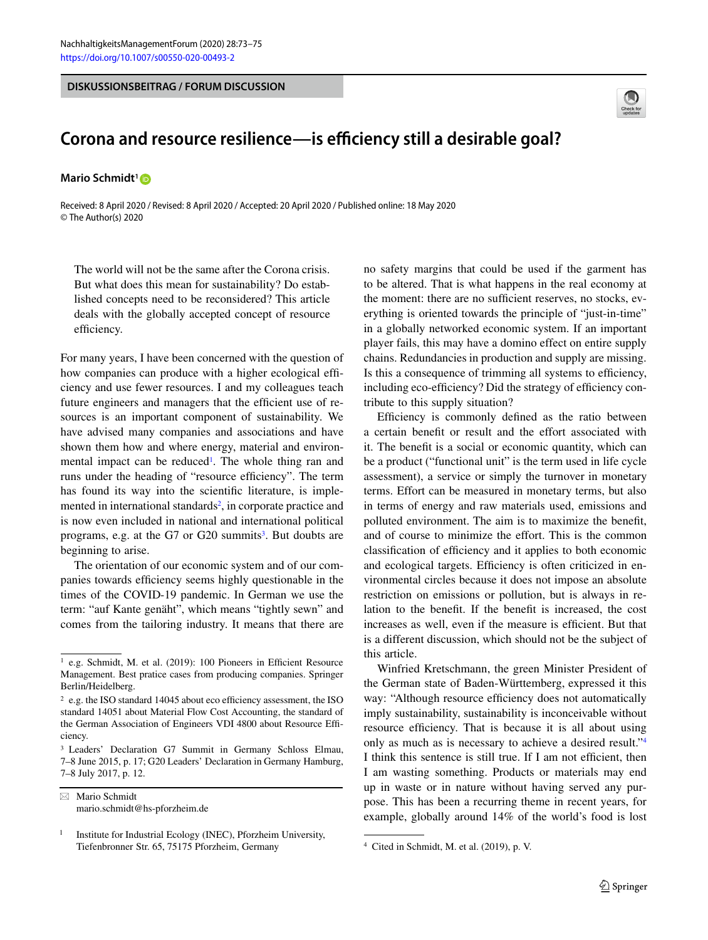**DISKUSSIONSBEITRAG / FORUM DISCUSSION**



## **Corona and resource resilience—is efficiency still a desirable goal?**

**Mario Schmidt<sup>1</sup><sub>D</sub>** 

Received: 8 April 2020 / Revised: 8 April 2020 / Accepted: 20 April 2020 / Published online: 18 May 2020 © The Author(s) 2020

The world will not be the same after the Corona crisis. But what does this mean for sustainability? Do established concepts need to be reconsidered? This article deals with the globally accepted concept of resource efficiency.

For many years, I have been concerned with the question of how companies can produce with a higher ecological efficiency and use fewer resources. I and my colleagues teach future engineers and managers that the efficient use of resources is an important component of sustainability. We have advised many companies and associations and have shown them how and where energy, material and environmental impact can be reduced<sup>1</sup>. The whole thing ran and runs under the heading of "resource efficiency". The term has found its way into the scientific literature, is implemented in international standards<sup>2</sup>, in corporate practice and is now even included in national and international political programs, e.g. at the  $G7$  or  $G20$  summits<sup>3</sup>. But doubts are beginning to arise.

The orientation of our economic system and of our companies towards efficiency seems highly questionable in the times of the COVID-19 pandemic. In German we use the term: "auf Kante genäht", which means "tightly sewn" and comes from the tailoring industry. It means that there are

- Mario Schmidt mario.schmidt@hs-pforzheim.de no safety margins that could be used if the garment has to be altered. That is what happens in the real economy at the moment: there are no sufficient reserves, no stocks, everything is oriented towards the principle of "just-in-time" in a globally networked economic system. If an important player fails, this may have a domino effect on entire supply chains. Redundancies in production and supply are missing. Is this a consequence of trimming all systems to efficiency, including eco-efficiency? Did the strategy of efficiency contribute to this supply situation?

Efficiency is commonly defined as the ratio between a certain benefit or result and the effort associated with it. The benefit is a social or economic quantity, which can be a product ("functional unit" is the term used in life cycle assessment), a service or simply the turnover in monetary terms. Effort can be measured in monetary terms, but also in terms of energy and raw materials used, emissions and polluted environment. The aim is to maximize the benefit, and of course to minimize the effort. This is the common classification of efficiency and it applies to both economic and ecological targets. Efficiency is often criticized in environmental circles because it does not impose an absolute restriction on emissions or pollution, but is always in relation to the benefit. If the benefit is increased, the cost increases as well, even if the measure is efficient. But that is a different discussion, which should not be the subject of this article.

Winfried Kretschmann, the green Minister President of the German state of Baden-Württemberg, expressed it this way: "Although resource efficiency does not automatically imply sustainability, sustainability is inconceivable without resource efficiency. That is because it is all about using only as much as is necessary to achieve a desired result.["4](#page-0-3) I think this sentence is still true. If I am not efficient, then I am wasting something. Products or materials may end up in waste or in nature without having served any purpose. This has been a recurring theme in recent years, for example, globally around 14% of the world's food is lost

<span id="page-0-0"></span><sup>&</sup>lt;sup>1</sup> e.g. Schmidt, M. et al. (2019): 100 Pioneers in Efficient Resource Management. Best pratice cases from producing companies. Springer Berlin/Heidelberg.

<span id="page-0-1"></span><sup>2</sup> e.g. the ISO standard 14045 about eco efficiency assessment, the ISO standard 14051 about Material Flow Cost Accounting, the standard of the German Association of Engineers VDI 4800 about Resource Efficiency.

<span id="page-0-2"></span><sup>3</sup> Leaders' Declaration G7 Summit in Germany Schloss Elmau, 7–8 June 2015, p. 17; G20 Leaders' Declaration in Germany Hamburg, 7–8 July 2017, p. 12.

<sup>&</sup>lt;sup>1</sup> Institute for Industrial Ecology (INEC), Pforzheim University, Tiefenbronner Str. 65, 75175 Pforzheim, Germany

<span id="page-0-3"></span><sup>4</sup> Cited in Schmidt, M. et al. (2019), p. V.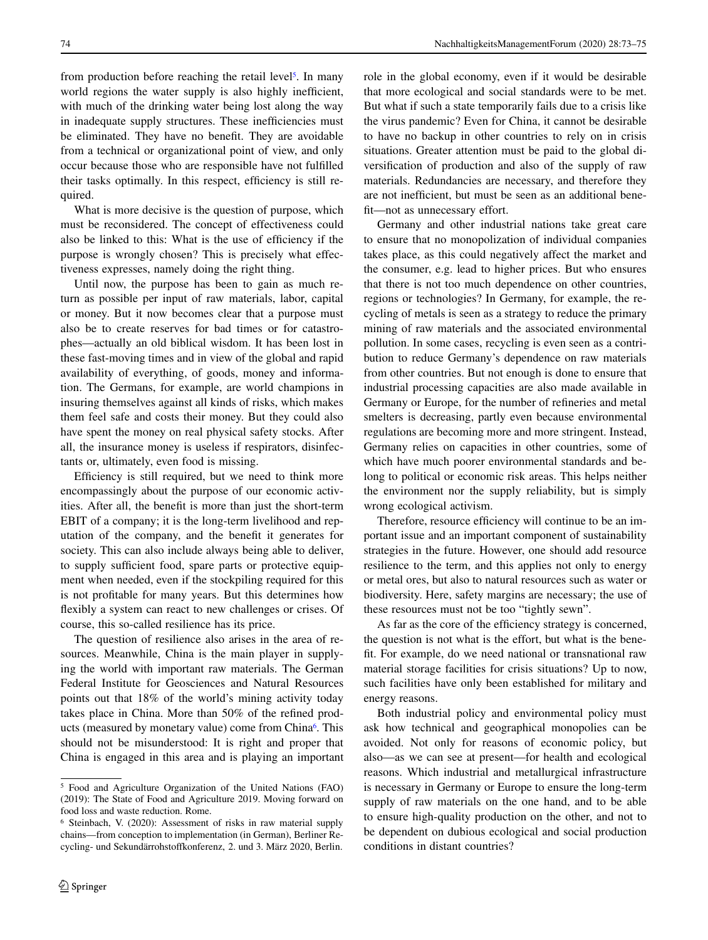from production before reaching the retail level<sup>5</sup>. In many world regions the water supply is also highly inefficient, with much of the drinking water being lost along the way in inadequate supply structures. These inefficiencies must be eliminated. They have no benefit. They are avoidable from a technical or organizational point of view, and only occur because those who are responsible have not fulfilled their tasks optimally. In this respect, efficiency is still required.

What is more decisive is the question of purpose, which must be reconsidered. The concept of effectiveness could also be linked to this: What is the use of efficiency if the purpose is wrongly chosen? This is precisely what effectiveness expresses, namely doing the right thing.

Until now, the purpose has been to gain as much return as possible per input of raw materials, labor, capital or money. But it now becomes clear that a purpose must also be to create reserves for bad times or for catastrophes—actually an old biblical wisdom. It has been lost in these fast-moving times and in view of the global and rapid availability of everything, of goods, money and information. The Germans, for example, are world champions in insuring themselves against all kinds of risks, which makes them feel safe and costs their money. But they could also have spent the money on real physical safety stocks. After all, the insurance money is useless if respirators, disinfectants or, ultimately, even food is missing.

Efficiency is still required, but we need to think more encompassingly about the purpose of our economic activities. After all, the benefit is more than just the short-term EBIT of a company; it is the long-term livelihood and reputation of the company, and the benefit it generates for society. This can also include always being able to deliver, to supply sufficient food, spare parts or protective equipment when needed, even if the stockpiling required for this is not profitable for many years. But this determines how flexibly a system can react to new challenges or crises. Of course, this so-called resilience has its price.

The question of resilience also arises in the area of resources. Meanwhile, China is the main player in supplying the world with important raw materials. The German Federal Institute for Geosciences and Natural Resources points out that 18% of the world's mining activity today takes place in China. More than 50% of the refined products (measured by monetary value) come from China<sup>6</sup>. This should not be misunderstood: It is right and proper that China is engaged in this area and is playing an important role in the global economy, even if it would be desirable that more ecological and social standards were to be met. But what if such a state temporarily fails due to a crisis like the virus pandemic? Even for China, it cannot be desirable to have no backup in other countries to rely on in crisis situations. Greater attention must be paid to the global diversification of production and also of the supply of raw materials. Redundancies are necessary, and therefore they are not inefficient, but must be seen as an additional benefit—not as unnecessary effort.

Germany and other industrial nations take great care to ensure that no monopolization of individual companies takes place, as this could negatively affect the market and the consumer, e.g. lead to higher prices. But who ensures that there is not too much dependence on other countries, regions or technologies? In Germany, for example, the recycling of metals is seen as a strategy to reduce the primary mining of raw materials and the associated environmental pollution. In some cases, recycling is even seen as a contribution to reduce Germany's dependence on raw materials from other countries. But not enough is done to ensure that industrial processing capacities are also made available in Germany or Europe, for the number of refineries and metal smelters is decreasing, partly even because environmental regulations are becoming more and more stringent. Instead, Germany relies on capacities in other countries, some of which have much poorer environmental standards and belong to political or economic risk areas. This helps neither the environment nor the supply reliability, but is simply wrong ecological activism.

Therefore, resource efficiency will continue to be an important issue and an important component of sustainability strategies in the future. However, one should add resource resilience to the term, and this applies not only to energy or metal ores, but also to natural resources such as water or biodiversity. Here, safety margins are necessary; the use of these resources must not be too "tightly sewn".

As far as the core of the efficiency strategy is concerned, the question is not what is the effort, but what is the benefit. For example, do we need national or transnational raw material storage facilities for crisis situations? Up to now, such facilities have only been established for military and energy reasons.

Both industrial policy and environmental policy must ask how technical and geographical monopolies can be avoided. Not only for reasons of economic policy, but also—as we can see at present—for health and ecological reasons. Which industrial and metallurgical infrastructure is necessary in Germany or Europe to ensure the long-term supply of raw materials on the one hand, and to be able to ensure high-quality production on the other, and not to be dependent on dubious ecological and social production conditions in distant countries?

<span id="page-1-0"></span><sup>5</sup> Food and Agriculture Organization of the United Nations (FAO) (2019): The State of Food and Agriculture 2019. Moving forward on food loss and waste reduction. Rome.

<span id="page-1-1"></span><sup>6</sup> Steinbach, V. (2020): Assessment of risks in raw material supply chains—from conception to implementation (in German), Berliner Recycling- und Sekundärrohstoffkonferenz, 2. und 3. März 2020, Berlin.